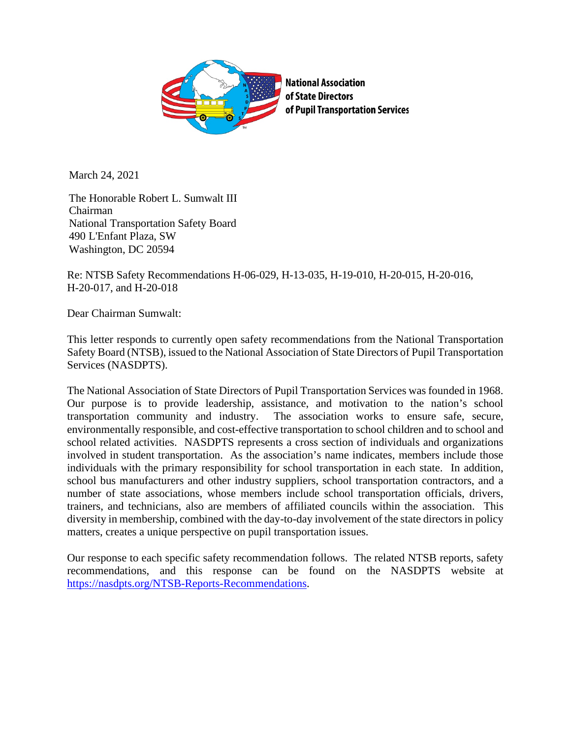

March 24, 2021

The Honorable Robert L. Sumwalt III Chairman National Transportation Safety Board 490 L'Enfant Plaza, SW Washington, DC 20594

Re: NTSB Safety Recommendations H-06-029, H-13-035, H-19-010, H-20-015, H-20-016, H-20-017, and H-20-018

Dear Chairman Sumwalt:

This letter responds to currently open safety recommendations from the National Transportation Safety Board (NTSB), issued to the National Association of State Directors of Pupil Transportation Services (NASDPTS).

The National Association of State Directors of Pupil Transportation Services was founded in 1968. Our purpose is to provide leadership, assistance, and motivation to the nation's school transportation community and industry. The association works to ensure safe, secure, environmentally responsible, and cost-effective transportation to school children and to school and school related activities. NASDPTS represents a cross section of individuals and organizations involved in student transportation. As the association's name indicates, members include those individuals with the primary responsibility for school transportation in each state. In addition, school bus manufacturers and other industry suppliers, school transportation contractors, and a number of state associations, whose members include school transportation officials, drivers, trainers, and technicians, also are members of affiliated councils within the association. This diversity in membership, combined with the day-to-day involvement of the state directors in policy matters, creates a unique perspective on pupil transportation issues.

Our response to each specific safety recommendation follows. The related NTSB reports, safety recommendations, and this response can be found on the NASDPTS website at [https://nasdpts.org/NTSB-Reports-Recommendations.](https://nasdpts.org/NTSB-Reports-Recommendations)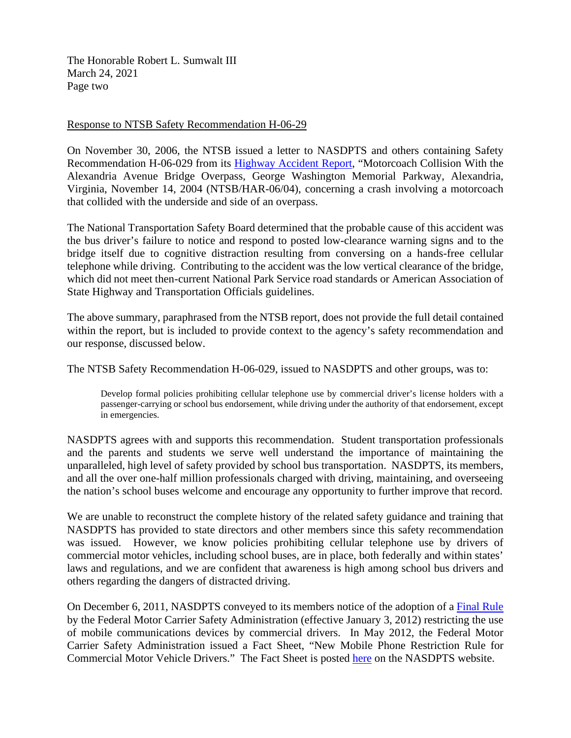The Honorable Robert L. Sumwalt III March 24, 2021 Page two

## Response to NTSB Safety Recommendation H-06-29

On November 30, 2006, the NTSB issued a letter to NASDPTS and others containing Safety Recommendation H-06-029 from its [Highway Accident Report,](https://nasdpts.org/NTSB-Reports-Recommendations) "Motorcoach Collision With the Alexandria Avenue Bridge Overpass, George Washington Memorial Parkway, Alexandria, Virginia, November 14, 2004 (NTSB/HAR-06/04), concerning a crash involving a motorcoach that collided with the underside and side of an overpass.

The National Transportation Safety Board determined that the probable cause of this accident was the bus driver's failure to notice and respond to posted low-clearance warning signs and to the bridge itself due to cognitive distraction resulting from conversing on a hands-free cellular telephone while driving. Contributing to the accident was the low vertical clearance of the bridge, which did not meet then-current National Park Service road standards or American Association of State Highway and Transportation Officials guidelines.

The above summary, paraphrased from the NTSB report, does not provide the full detail contained within the report, but is included to provide context to the agency's safety recommendation and our response, discussed below.

The NTSB Safety Recommendation H-06-029, issued to NASDPTS and other groups, was to:

Develop formal policies prohibiting cellular telephone use by commercial driver's license holders with a passenger-carrying or school bus endorsement, while driving under the authority of that endorsement, except in emergencies.

NASDPTS agrees with and supports this recommendation. Student transportation professionals and the parents and students we serve well understand the importance of maintaining the unparalleled, high level of safety provided by school bus transportation. NASDPTS, its members, and all the over one-half million professionals charged with driving, maintaining, and overseeing the nation's school buses welcome and encourage any opportunity to further improve that record.

We are unable to reconstruct the complete history of the related safety guidance and training that NASDPTS has provided to state directors and other members since this safety recommendation was issued. However, we know policies prohibiting cellular telephone use by drivers of commercial motor vehicles, including school buses, are in place, both federally and within states' laws and regulations, and we are confident that awareness is high among school bus drivers and others regarding the dangers of distracted driving.

On December 6, 2011, NASDPTS conveyed to its members notice of the adoption of a [Final Rule](https://nasdpts.org/drivers-training/) by the Federal Motor Carrier Safety Administration (effective January 3, 2012) restricting the use of mobile communications devices by commercial drivers. In May 2012, the Federal Motor Carrier Safety Administration issued a Fact Sheet, "New Mobile Phone Restriction Rule for Commercial Motor Vehicle Drivers." The Fact Sheet is posted [here](https://nasdpts.org/drivers-training) on the NASDPTS website.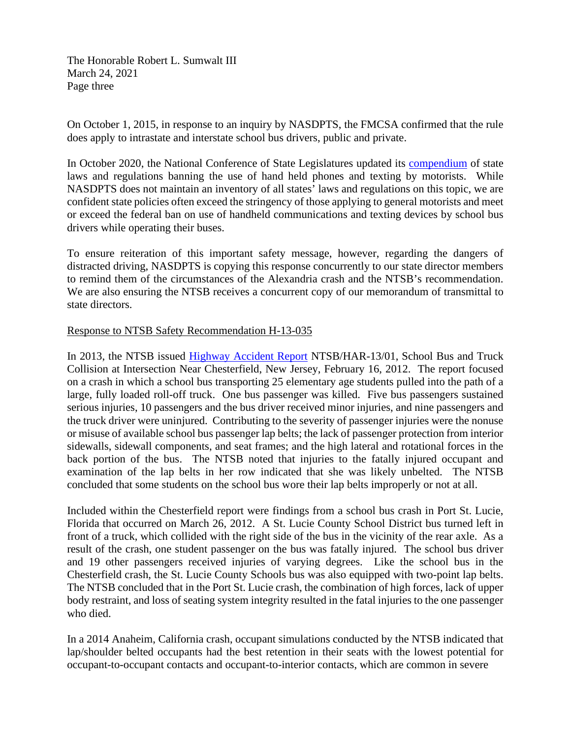The Honorable Robert L. Sumwalt III March 24, 2021 Page three

On October 1, 2015, in response to an inquiry by NASDPTS, the FMCSA confirmed that the rule does apply to intrastate and interstate school bus drivers, public and private.

In October 2020, the National Conference of State Legislatures updated its [compendium](https://www.ncsl.org/research/transportation/cellular-phone-use-and-texting-while-driving-laws.aspx) of state laws and regulations banning the use of hand held phones and texting by motorists. While NASDPTS does not maintain an inventory of all states' laws and regulations on this topic, we are confident state policies often exceed the stringency of those applying to general motorists and meet or exceed the federal ban on use of handheld communications and texting devices by school bus drivers while operating their buses.

To ensure reiteration of this important safety message, however, regarding the dangers of distracted driving, NASDPTS is copying this response concurrently to our state director members to remind them of the circumstances of the Alexandria crash and the NTSB's recommendation. We are also ensuring the NTSB receives a concurrent copy of our memorandum of transmittal to state directors.

## Response to NTSB Safety Recommendation H-13-035

In 2013, the NTSB issued [Highway Accident Report](https://www.ntsb.gov/investigations/AccidentReports/Pages/HAR1301.aspx) NTSB/HAR-13/01, School Bus and Truck Collision at Intersection Near Chesterfield, New Jersey, February 16, 2012. The report focused on a crash in which a school bus transporting 25 elementary age students pulled into the path of a large, fully loaded roll-off truck. One bus passenger was killed. Five bus passengers sustained serious injuries, 10 passengers and the bus driver received minor injuries, and nine passengers and the truck driver were uninjured. Contributing to the severity of passenger injuries were the nonuse or misuse of available school bus passenger lap belts; the lack of passenger protection from interior sidewalls, sidewall components, and seat frames; and the high lateral and rotational forces in the back portion of the bus. The NTSB noted that injuries to the fatally injured occupant and examination of the lap belts in her row indicated that she was likely unbelted. The NTSB concluded that some students on the school bus wore their lap belts improperly or not at all.

Included within the Chesterfield report were findings from a school bus crash in Port St. Lucie, Florida that occurred on March 26, 2012. A St. Lucie County School District bus turned left in front of a truck, which collided with the right side of the bus in the vicinity of the rear axle. As a result of the crash, one student passenger on the bus was fatally injured. The school bus driver and 19 other passengers received injuries of varying degrees. Like the school bus in the Chesterfield crash, the St. Lucie County Schools bus was also equipped with two-point lap belts. The NTSB concluded that in the Port St. Lucie crash, the combination of high forces, lack of upper body restraint, and loss of seating system integrity resulted in the fatal injuries to the one passenger who died.

In a 2014 Anaheim, California crash, occupant simulations conducted by the NTSB indicated that lap/shoulder belted occupants had the best retention in their seats with the lowest potential for occupant-to-occupant contacts and occupant-to-interior contacts, which are common in severe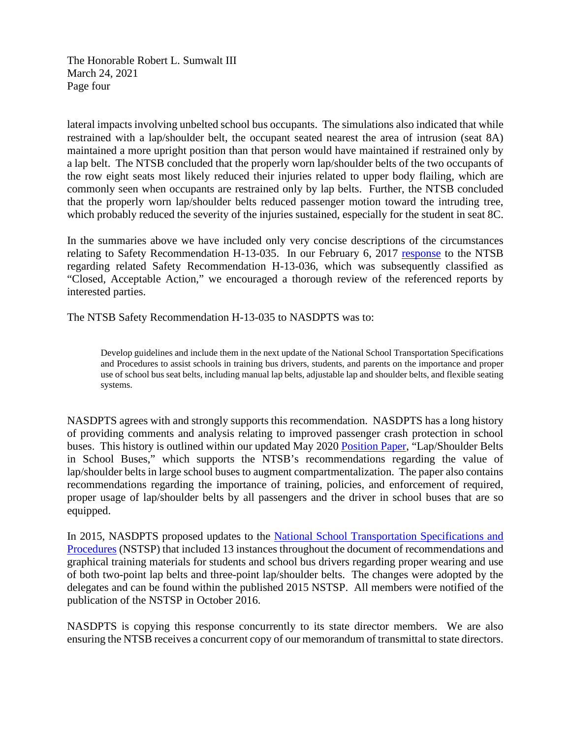The Honorable Robert L. Sumwalt III March 24, 2021 Page four

lateral impacts involving unbelted school bus occupants. The simulations also indicated that while restrained with a lap/shoulder belt, the occupant seated nearest the area of intrusion (seat 8A) maintained a more upright position than that person would have maintained if restrained only by a lap belt. The NTSB concluded that the properly worn lap/shoulder belts of the two occupants of the row eight seats most likely reduced their injuries related to upper body flailing, which are commonly seen when occupants are restrained only by lap belts. Further, the NTSB concluded that the properly worn lap/shoulder belts reduced passenger motion toward the intruding tree, which probably reduced the severity of the injuries sustained, especially for the student in seat 8C.

In the summaries above we have included only very concise descriptions of the circumstances relating to Safety Recommendation H-13-035. In our February 6, 2017 [response](https://nasdpts.org/NTSB-Reports-Recommendations) to the NTSB regarding related Safety Recommendation H-13-036, which was subsequently classified as "Closed, Acceptable Action," we encouraged a thorough review of the referenced reports by interested parties.

The NTSB Safety Recommendation H-13-035 to NASDPTS was to:

Develop guidelines and include them in the next update of the National School Transportation Specifications and Procedures to assist schools in training bus drivers, students, and parents on the importance and proper use of school bus seat belts, including manual lap belts, adjustable lap and shoulder belts, and flexible seating systems.

NASDPTS agrees with and strongly supports this recommendation. NASDPTS has a long history of providing comments and analysis relating to improved passenger crash protection in school buses. This history is outlined within our updated May 2020 [Position Paper,](https://nasdpts.org/Position-Papers) "Lap/Shoulder Belts in School Buses," which supports the NTSB's recommendations regarding the value of lap/shoulder belts in large school buses to augment compartmentalization. The paper also contains recommendations regarding the importance of training, policies, and enforcement of required, proper usage of lap/shoulder belts by all passengers and the driver in school buses that are so equipped.

In 2015, NASDPTS proposed updates to the [National School Transportation Specifications and](http://www.ncstonline.org/)  [Procedures](http://www.ncstonline.org/) (NSTSP) that included 13 instances throughout the document of recommendations and graphical training materials for students and school bus drivers regarding proper wearing and use of both two-point lap belts and three-point lap/shoulder belts. The changes were adopted by the delegates and can be found within the published 2015 NSTSP. All members were notified of the publication of the NSTSP in October 2016.

NASDPTS is copying this response concurrently to its state director members. We are also ensuring the NTSB receives a concurrent copy of our memorandum of transmittal to state directors.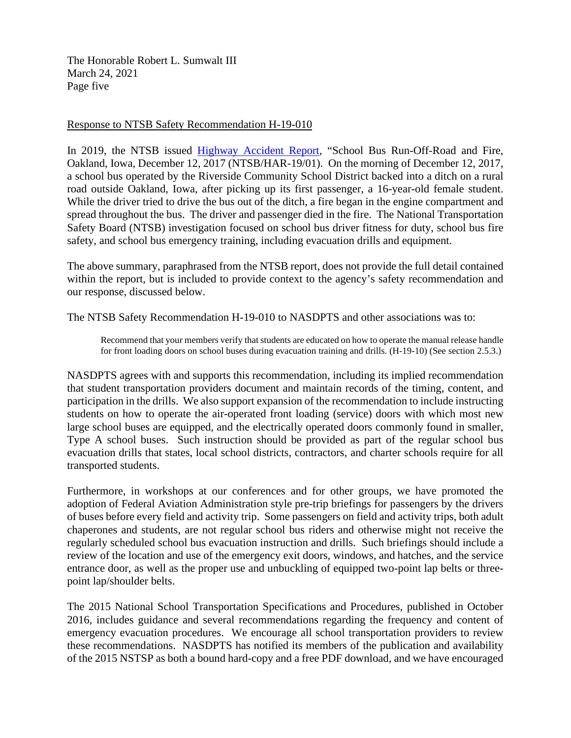The Honorable Robert L. Sumwalt III March 24, 2021 Page five

## Response to NTSB Safety Recommendation H-19-010

In 2019, the NTSB issued [Highway Accident Report,](https://nasdpts.org/NTSB-Reports-Recommendations) "School Bus Run-Off-Road and Fire, Oakland, Iowa, December 12, 2017 (NTSB/HAR-19/01). On the morning of December 12, 2017, a school bus operated by the Riverside Community School District backed into a ditch on a rural road outside Oakland, Iowa, after picking up its first passenger, a 16-year-old female student. While the driver tried to drive the bus out of the ditch, a fire began in the engine compartment and spread throughout the bus. The driver and passenger died in the fire. The National Transportation Safety Board (NTSB) investigation focused on school bus driver fitness for duty, school bus fire safety, and school bus emergency training, including evacuation drills and equipment.

The above summary, paraphrased from the NTSB report, does not provide the full detail contained within the report, but is included to provide context to the agency's safety recommendation and our response, discussed below.

The NTSB Safety Recommendation H-19-010 to NASDPTS and other associations was to:

Recommend that your members verify that students are educated on how to operate the manual release handle for front loading doors on school buses during evacuation training and drills. (H-19-10) (See section 2.5.3.)

NASDPTS agrees with and supports this recommendation, including its implied recommendation that student transportation providers document and maintain records of the timing, content, and participation in the drills. We also support expansion of the recommendation to include instructing students on how to operate the air-operated front loading (service) doors with which most new large school buses are equipped, and the electrically operated doors commonly found in smaller, Type A school buses. Such instruction should be provided as part of the regular school bus evacuation drills that states, local school districts, contractors, and charter schools require for all transported students.

Furthermore, in workshops at our conferences and for other groups, we have promoted the adoption of Federal Aviation Administration style pre-trip briefings for passengers by the drivers of buses before every field and activity trip. Some passengers on field and activity trips, both adult chaperones and students, are not regular school bus riders and otherwise might not receive the regularly scheduled school bus evacuation instruction and drills. Such briefings should include a review of the location and use of the emergency exit doors, windows, and hatches, and the service entrance door, as well as the proper use and unbuckling of equipped two-point lap belts or threepoint lap/shoulder belts.

The 2015 National School Transportation Specifications and Procedures, published in October 2016, includes guidance and several recommendations regarding the frequency and content of emergency evacuation procedures. We encourage all school transportation providers to review these recommendations. NASDPTS has notified its members of the publication and availability of the 2015 NSTSP as both a bound hard-copy and a free PDF download, and we have encouraged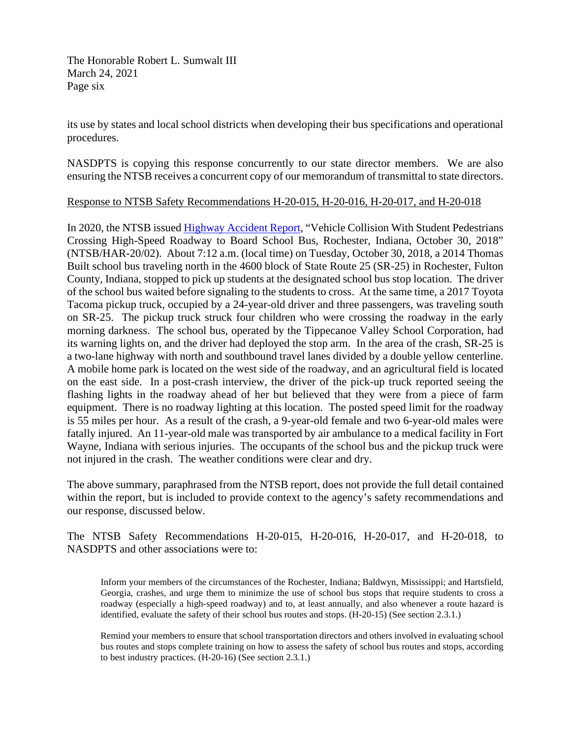The Honorable Robert L. Sumwalt III March 24, 2021 Page six

its use by states and local school districts when developing their bus specifications and operational procedures.

NASDPTS is copying this response concurrently to our state director members. We are also ensuring the NTSB receives a concurrent copy of our memorandum of transmittal to state directors.

## Response to NTSB Safety Recommendations H-20-015, H-20-016, H-20-017, and H-20-018

In 2020, the NTSB issued [Highway Accident Report,](https://nasdpts.org/NTSB-Reports-Recommendations) "Vehicle Collision With Student Pedestrians Crossing High-Speed Roadway to Board School Bus, Rochester, Indiana, October 30, 2018" (NTSB/HAR-20/02). About 7:12 a.m. (local time) on Tuesday, October 30, 2018, a 2014 Thomas Built school bus traveling north in the 4600 block of State Route 25 (SR-25) in Rochester, Fulton County, Indiana, stopped to pick up students at the designated school bus stop location. The driver of the school bus waited before signaling to the students to cross. At the same time, a 2017 Toyota Tacoma pickup truck, occupied by a 24-year-old driver and three passengers, was traveling south on SR-25. The pickup truck struck four children who were crossing the roadway in the early morning darkness. The school bus, operated by the Tippecanoe Valley School Corporation, had its warning lights on, and the driver had deployed the stop arm. In the area of the crash, SR-25 is a two-lane highway with north and southbound travel lanes divided by a double yellow centerline. A mobile home park is located on the west side of the roadway, and an agricultural field is located on the east side. In a post-crash interview, the driver of the pick-up truck reported seeing the flashing lights in the roadway ahead of her but believed that they were from a piece of farm equipment. There is no roadway lighting at this location. The posted speed limit for the roadway is 55 miles per hour. As a result of the crash, a 9-year-old female and two 6-year-old males were fatally injured. An 11-year-old male was transported by air ambulance to a medical facility in Fort Wayne, Indiana with serious injuries. The occupants of the school bus and the pickup truck were not injured in the crash. The weather conditions were clear and dry.

The above summary, paraphrased from the NTSB report, does not provide the full detail contained within the report, but is included to provide context to the agency's safety recommendations and our response, discussed below.

The NTSB Safety Recommendations H-20-015, H-20-016, H-20-017, and H-20-018, to NASDPTS and other associations were to:

Inform your members of the circumstances of the Rochester, Indiana; Baldwyn, Mississippi; and Hartsfield, Georgia, crashes, and urge them to minimize the use of school bus stops that require students to cross a roadway (especially a high-speed roadway) and to, at least annually, and also whenever a route hazard is identified, evaluate the safety of their school bus routes and stops. (H-20-15) (See section 2.3.1.)

Remind your members to ensure that school transportation directors and others involved in evaluating school bus routes and stops complete training on how to assess the safety of school bus routes and stops, according to best industry practices. (H-20-16) (See section 2.3.1.)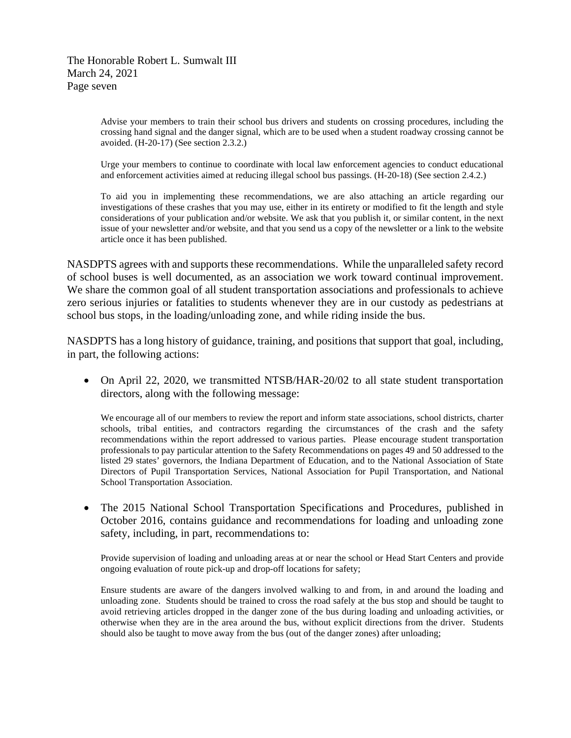The Honorable Robert L. Sumwalt III March 24, 2021 Page seven

> Advise your members to train their school bus drivers and students on crossing procedures, including the crossing hand signal and the danger signal, which are to be used when a student roadway crossing cannot be avoided. (H-20-17) (See section 2.3.2.)

> Urge your members to continue to coordinate with local law enforcement agencies to conduct educational and enforcement activities aimed at reducing illegal school bus passings. (H-20-18) (See section 2.4.2.)

> To aid you in implementing these recommendations, we are also attaching an article regarding our investigations of these crashes that you may use, either in its entirety or modified to fit the length and style considerations of your publication and/or website. We ask that you publish it, or similar content, in the next issue of your newsletter and/or website, and that you send us a copy of the newsletter or a link to the website article once it has been published.

NASDPTS agrees with and supports these recommendations. While the unparalleled safety record of school buses is well documented, as an association we work toward continual improvement. We share the common goal of all student transportation associations and professionals to achieve zero serious injuries or fatalities to students whenever they are in our custody as pedestrians at school bus stops, in the loading/unloading zone, and while riding inside the bus.

NASDPTS has a long history of guidance, training, and positions that support that goal, including, in part, the following actions:

• On April 22, 2020, we transmitted NTSB/HAR-20/02 to all state student transportation directors, along with the following message:

We encourage all of our members to review the report and inform state associations, school districts, charter schools, tribal entities, and contractors regarding the circumstances of the crash and the safety recommendations within the report addressed to various parties. Please encourage student transportation professionals to pay particular attention to the Safety Recommendations on pages 49 and 50 addressed to the listed 29 states' governors, the Indiana Department of Education, and to the National Association of State Directors of Pupil Transportation Services, National Association for Pupil Transportation, and National School Transportation Association.

• The 2015 National School Transportation Specifications and Procedures, published in October 2016, contains guidance and recommendations for loading and unloading zone safety, including, in part, recommendations to:

Provide supervision of loading and unloading areas at or near the school or Head Start Centers and provide ongoing evaluation of route pick-up and drop-off locations for safety;

Ensure students are aware of the dangers involved walking to and from, in and around the loading and unloading zone. Students should be trained to cross the road safely at the bus stop and should be taught to avoid retrieving articles dropped in the danger zone of the bus during loading and unloading activities, or otherwise when they are in the area around the bus, without explicit directions from the driver. Students should also be taught to move away from the bus (out of the danger zones) after unloading;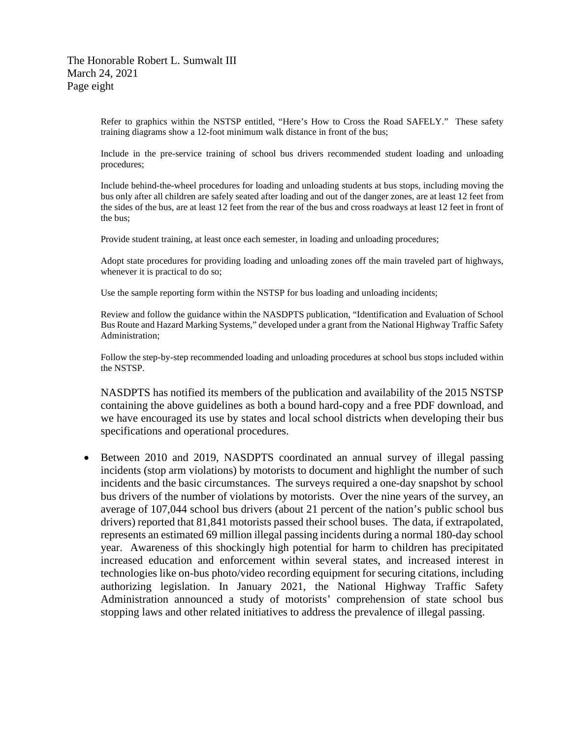Refer to graphics within the NSTSP entitled, "Here's How to Cross the Road SAFELY." These safety training diagrams show a 12-foot minimum walk distance in front of the bus;

Include in the pre-service training of school bus drivers recommended student loading and unloading procedures;

Include behind-the-wheel procedures for loading and unloading students at bus stops, including moving the bus only after all children are safely seated after loading and out of the danger zones, are at least 12 feet from the sides of the bus, are at least 12 feet from the rear of the bus and cross roadways at least 12 feet in front of the bus;

Provide student training, at least once each semester, in loading and unloading procedures;

Adopt state procedures for providing loading and unloading zones off the main traveled part of highways, whenever it is practical to do so;

Use the sample reporting form within the NSTSP for bus loading and unloading incidents;

Review and follow the guidance within the NASDPTS publication, "Identification and Evaluation of School Bus Route and Hazard Marking Systems," developed under a grant from the National Highway Traffic Safety Administration;

Follow the step-by-step recommended loading and unloading procedures at school bus stops included within the NSTSP.

NASDPTS has notified its members of the publication and availability of the 2015 NSTSP containing the above guidelines as both a bound hard-copy and a free PDF download, and we have encouraged its use by states and local school districts when developing their bus specifications and operational procedures.

• Between 2010 and 2019, NASDPTS coordinated an annual survey of illegal passing incidents (stop arm violations) by motorists to document and highlight the number of such incidents and the basic circumstances. The surveys required a one-day snapshot by school bus drivers of the number of violations by motorists. Over the nine years of the survey, an average of 107,044 school bus drivers (about 21 percent of the nation's public school bus drivers) reported that 81,841 motorists passed their school buses. The data, if extrapolated, represents an estimated 69 million illegal passing incidents during a normal 180-day school year. Awareness of this shockingly high potential for harm to children has precipitated increased education and enforcement within several states, and increased interest in technologies like on-bus photo/video recording equipment for securing citations, including authorizing legislation. In January 2021, the National Highway Traffic Safety Administration announced a study of motorists' comprehension of state school bus stopping laws and other related initiatives to address the prevalence of illegal passing.